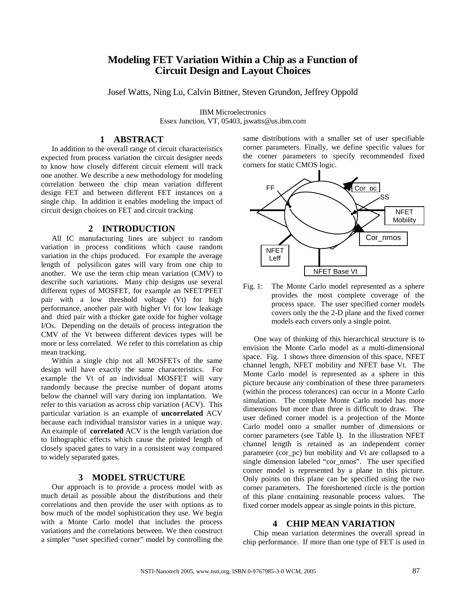# **Modeling FET Variation Within a Chip as a Function of Circuit Design and Layout Choices**

Josef Watts, Ning Lu, Calvin Bittner, Steven Grundon, Jeffrey Oppold

IBM Microelectronics Essex Junction, VT, 05403, jswatts@us.ibm.com

## **1 ABSTRACT**

In addition to the overall range of circuit characteristics expected from process variation the circuit designer needs to know how closely different circuit element will track one another. We describe a new methodology for modeling correlation between the chip mean variation different design FET and between different FET instances on a single chip. In addition it enables modeling the impact of circuit design choices on FET and circuit tracking

#### **2 INTRODUCTION**

All IC manufacturing lines are subject to random variation in process conditions which cause random variation in the chips produced. For example the average length of polysilicon gates will vary from one chip to another. We use the term chip mean variation (CMV) to describe such variations. Many chip designs use several different types of MOSFET, for example an NFET/PFET pair with a low threshold voltage (Vt) for high performance, another pair with higher Vt for low leakage and third pair with a thicker gate oxide for higher voltage I/Os. Depending on the details of process integration the CMV of the Vt between different devices types will be more or less correlated. We refer to this correlation as chip mean tracking.

Within a single chip not all MOSFETs of the same design will have exactly the same characteristics. For example the Vt of an individual MOSFET will vary randomly because the precise number of dopant atoms below the channel will vary during ion implantation. We refer to this variation as across chip variation (ACV). This particular variation is an example of **uncorrelated** ACV because each individual transistor varies in a unique way. An example of **correlated** ACV is the length variation due to lithographic effects which cause the printed length of closely spaced gates to vary in a consistent way compared to widely separated gates.

#### **3 MODEL STRUCTURE**

Our approach is to provide a process model with as much detail as possible about the distributions and their correlations and then provide the user with options as to how much of the model sophistication they use. We begin with a Monte Carlo model that includes the process variations and the correlations between. We then construct a simpler "user specified corner" model by controlling the

same distributions with a smaller set of user specifiable corner parameters. Finally, we define specific values for the corner parameters to specify recommended fixed corners for static CMOS logic.



Fig. 1: The Monte Carlo model represented as a sphere provides the most complete coverage of the process space. The user specified corner models covers only the the 2-D plane and the fixed corner models each covers only a single point.

One way of thinking of this hierarchical structure is to envision the Monte Carlo model as a multi-dimensional space. Fig. 1 shows three dimension of this space, NFET channel length, NFET mobility and NFET base Vt. The Monte Carlo model is represented as a sphere in this picture because any combination of these three parameters (within the process tolerances) can occur in a Monte Carlo simulation. The complete Monte Carlo model has more dimensions but more than three is difficult to draw. The user defined corner model is a projection of the Monte Carlo model onto a smaller number of dimensions or corner parameters (see Table I). In the illustration NFET channel length is retained as an independent corner parameter (cor\_pc) but mobility and Vt are collapsed to a single dimension labeled "cor\_nmos". The user specified corner model is represented by a plane in this picture. Only points on this plane can be specified using the two corner parameters. The foreshortened circle is the portion of this plane containing reasonable process values. The fixed corner models appear as single points in this picture.

#### **4 CHIP MEAN VARIATION**

Chip mean variation determines the overall spread in chip performance. If more than one type of FET is used in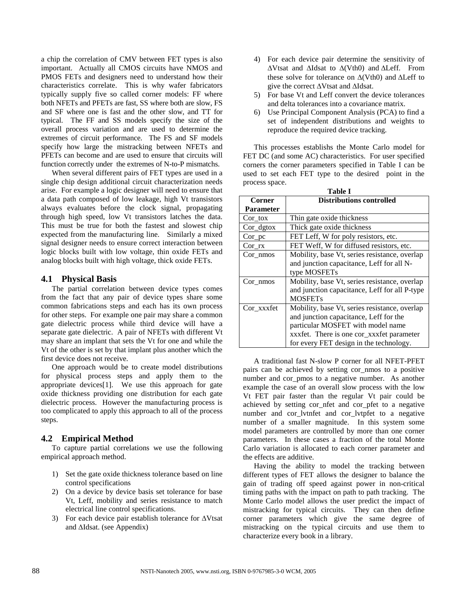a chip the correlation of CMV between FET types is also important. Actually all CMOS circuits have NMOS and PMOS FETs and designers need to understand how their characteristics correlate. This is why wafer fabricators typically supply five so called corner models: FF where both NFETs and PFETs are fast, SS where both are slow, FS and SF where one is fast and the other slow, and TT for typical. The FF and SS models specify the size of the overall process variation and are used to determine the extremes of circuit performance. The FS and SF models specify how large the mistracking between NFETs and PFETs can become and are used to ensure that circuits will function correctly under the extremes of N-to-P mismatchs.

When several different pairs of FET types are used in a single chip design additional circuit characterization needs arise. For example a logic designer will need to ensure that a data path composed of low leakage, high Vt transistors always evaluates before the clock signal, propagating through high speed, low Vt transistors latches the data. This must be true for both the fastest and slowest chip expected from the manufacturing line. Similarly a mixed signal designer needs to ensure correct interaction between logic blocks built with low voltage, thin oxide FETs and analog blocks built with high voltage, thick oxide FETs.

#### **4.1 Physical Basis**

The partial correlation between device types comes from the fact that any pair of device types share some common fabrications steps and each has its own process for other steps. For example one pair may share a common gate dielectric process while third device will have a separate gate dielectric. A pair of NFETs with different Vt may share an implant that sets the Vt for one and while the Vt of the other is set by that implant plus another which the first device does not receive.

One approach would be to create model distributions for physical process steps and apply them to the appropriate devices[1]. We use this approach for gate oxide thickness providing one distribution for each gate dielectric process. However the manufacturing process is too complicated to apply this approach to all of the process steps.

## **4.2 Empirical Method**

To capture partial correlations we use the following empirical approach method.

- 1) Set the gate oxide thickness tolerance based on line control specifications
- 2) On a device by device basis set tolerance for base Vt, Leff, mobility and series resistance to match electrical line control specifications.
- 3) For each device pair establish tolerance for  $\triangle V$ tsat and  $\Delta$ Idsat. (see Appendix)
- 4) For each device pair determine the sensitivity of  $\Delta V$ tsat and  $\Delta I$ dsat to  $\Delta (Vth0)$  and  $\Delta L$ eff. From these solve for tolerance on  $\Delta(Vth0)$  and  $\Delta$ Leff to give the correct  $\Delta V$ tsat and  $\Delta I$ dsat.
- 5) For base Vt and Leff convert the device tolerances and delta tolerances into a covariance matrix.
- 6) Use Principal Component Analysis (PCA) to find a set of independent distributions and weights to reproduce the required device tracking.

This processes establishs the Monte Carlo model for FET DC (and some AC) characteristics. For user specified corners the corner parameters specified in Table I can be used to set each FET type to the desired point in the process space.

| <b>Table I</b>   |                                               |
|------------------|-----------------------------------------------|
| Corner           | <b>Distributions controlled</b>               |
| <b>Parameter</b> |                                               |
| Cor tox          | Thin gate oxide thickness                     |
| $Cor_dg$ tox     | Thick gate oxide thickness                    |
| $Cor_p c$        | FET Leff, W for poly resistors, etc.          |
| $Cor_{rx}$       | FET Weff, W for diffused resistors, etc.      |
| Cor nmos         | Mobility, base Vt, series resistance, overlap |
|                  | and junction capacitance, Leff for all N-     |
|                  | type MOSFETs                                  |
| Cor_nmos         | Mobility, base Vt, series resistance, overlap |
|                  | and junction capacitance, Leff for all P-type |
|                  | <b>MOSFETs</b>                                |
| Cor xxxfet       | Mobility, base Vt, series resistance, overlap |
|                  | and junction capacitance, Leff for the        |
|                  | particular MOSFET with model name             |
|                  | xxxfet. There is one cor_xxxfet parameter     |
|                  | for every FET design in the technology.       |

A traditional fast N-slow P corner for all NFET-PFET pairs can be achieved by setting cor\_nmos to a positive number and cor\_pmos to a negative number. As another example the case of an overall slow process with the low Vt FET pair faster than the regular Vt pair could be achieved by setting cor\_nfet and cor\_pfet to a negative number and cor\_lvtnfet and cor\_lvtpfet to a negative number of a smaller magnitude. In this system some model parameters are controlled by more than one corner parameters. In these cases a fraction of the total Monte Carlo variation is allocated to each corner parameter and the effects are additive.

Having the ability to model the tracking between different types of FET allows the designer to balance the gain of trading off speed against power in non-critical timing paths with the impact on path to path tracking. The Monte Carlo model allows the user predict the impact of mistracking for typical circuits. They can then define corner parameters which give the same degree of mistracking on the typical circuits and use them to characterize every book in a library.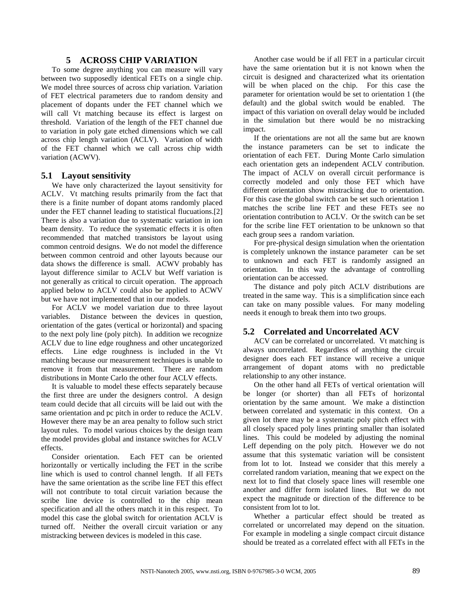#### **5 ACROSS CHIP VARIATION**

To some degree anything you can measure will vary between two supposedly identical FETs on a single chip. We model three sources of across chip variation. Variation of FET electrical parameters due to random density and placement of dopants under the FET channel which we will call Vt matching because its effect is largest on threshold. Variation of the length of the FET channel due to variation in poly gate etched dimensions which we call across chip length variation (ACLV). Variation of width of the FET channel which we call across chip width variation (ACWV).

#### **5.1 Layout sensitivity**

We have only characterized the layout sensitivity for ACLV. Vt matching results primarily from the fact that there is a finite number of dopant atoms randomly placed under the FET channel leading to statistical flucuations.[2] There is also a variation due to systematic variation in ion beam density. To reduce the systematic effects it is often recommended that matched transistors be layout using common centroid designs. We do not model the difference between common centroid and other layouts because our data shows the difference is small. ACWV probably has layout difference similar to ACLV but Weff variation is not generally as critical to circuit operation. The approach applied below to ACLV could also be applied to ACWV but we have not implemented that in our models.

For ACLV we model variation due to three layout variables. Distance between the devices in question, orientation of the gates (vertical or horizontal) and spacing to the next poly line (poly pitch). In addition we recognize ACLV due to line edge roughness and other uncategorized effects. Line edge roughness is included in the Vt matching because our measurement techniques is unable to remove it from that measurement. There are random distributions in Monte Carlo the other four ACLV effects.

It is valuable to model these effects separately because the first three are under the designers control. A design team could decide that all circuits will be laid out with the same orientation and pc pitch in order to reduce the ACLV. However there may be an area penalty to follow such strict layout rules. To model various choices by the design team the model provides global and instance switches for ACLV effects.

Consider orientation. Each FET can be oriented horizontally or vertically including the FET in the scribe line which is used to control channel length. If all FETs have the same orientation as the scribe line FET this effect will not contribute to total circuit variation because the scribe line device is controlled to the chip mean specification and all the others match it in this respect. To model this case the global switch for orientation ACLV is turned off. Neither the overall circuit variation or any mistracking between devices is modeled in this case.

Another case would be if all FET in a particular circuit have the same orientation but it is not known when the circuit is designed and characterized what its orientation will be when placed on the chip. For this case the parameter for orientation would be set to orientation 1 (the default) and the global switch would be enabled. The impact of this variation on overall delay would be included in the simulation but there would be no mistracking impact.

If the orientations are not all the same but are known the instance parameters can be set to indicate the orientation of each FET. During Monte Carlo simulation each orientation gets an independent ACLV contribution. The impact of ACLV on overall circuit performance is correctly modeled and only those FET which have different orientation show mistracking due to orientation. For this case the global switch can be set such orientation 1 matches the scribe line FET and these FETs see no orientation contribution to ACLV. Or the switch can be set for the scribe line FET orientation to be unknown so that each group sees a random variation.

For pre-physical design simulation when the orientation is completely unknown the instance parameter can be set to unknown and each FET is randomly assigned an orientation. In this way the advantage of controlling orientation can be accessed.

The distance and poly pitch ACLV distributions are treated in the same way. This is a simplification since each can take on many possible values. For many modeling needs it enough to break them into two groups.

## **5.2 Correlated and Uncorrelated ACV**

ACV can be correlated or uncorrelated. Vt matching is always uncorrelated. Regardless of anything the circuit designer does each FET instance will receive a unique arrangement of dopant atoms with no predictable relationship to any other instance.

On the other hand all FETs of vertical orientation will be longer (or shorter) than all FETs of horizontal orientation by the same amount. We make a distinction between correlated and systematic in this context. On a given lot there may be a systematic poly pitch effect with all closely spaced poly lines printing smaller than isolated lines. This could be modeled by adjusting the nominal Leff depending on the poly pitch. However we do not assume that this systematic variation will be consistent from lot to lot. Instead we consider that this merely a correlated random variation, meaning that we expect on the next lot to find that closely space lines will resemble one another and differ form isolated lines. But we do not expect the magnitude or direction of the difference to be consistent from lot to lot.

Whether a particular effect should be treated as correlated or uncorrelated may depend on the situation. For example in modeling a single compact circuit distance should be treated as a correlated effect with all FETs in the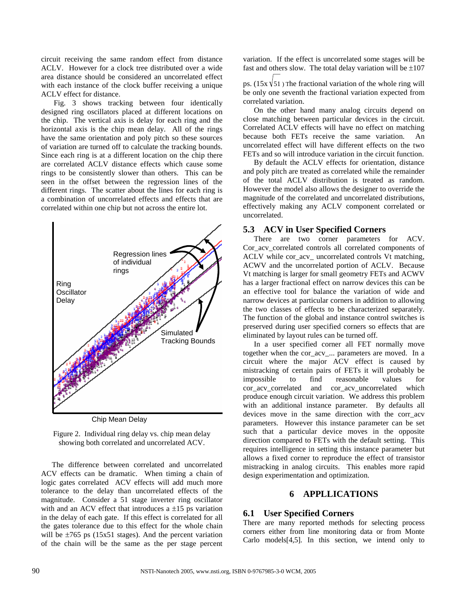circuit receiving the same random effect from distance ACLV. However for a clock tree distributed over a wide area distance should be considered an uncorrelated effect with each instance of the clock buffer receiving a unique ACLV effect for distance.

 Fig. 3 shows tracking between four identically designed ring oscillators placed at different locations on the chip. The vertical axis is delay for each ring and the horizontal axis is the chip mean delay. All of the rings have the same orientation and poly pitch so these sources of variation are turned off to calculate the tracking bounds. Since each ring is at a different location on the chip there are correlated ACLV distance effects which cause some rings to be consistently slower than others. This can be seen in the offset between the regression lines of the different rings. The scatter about the lines for each ring is a combination of uncorrelated effects and effects that are correlated within one chip but not across the entire lot.



Chip Mean Delay

Figure 2. Individual ring delay vs. chip mean delay showing both correlated and uncorrelated ACV.

The difference between correlated and uncorrelated ACV effects can be dramatic. When timing a chain of logic gates correlated ACV effects will add much more tolerance to the delay than uncorrelated effects of the magnitude. Consider a 51 stage inverter ring oscillator with and an ACV effect that introduces a  $\pm 15$  ps variation in the delay of each gate. If this effect is correlated for all the gates tolerance due to this effect for the whole chain will be  $\pm 765$  ps (15x51 stages). And the percent variation of the chain will be the same as the per stage percent

variation. If the effect is uncorrelated some stages will be fast and others slow. The total delay variation will be  $\pm 107$ 

ps. (15x  $\sqrt{51}$ ) The fractional variation of the whole ring will be only one seventh the fractional variation expected from correlated variation.

On the other hand many analog circuits depend on close matching between particular devices in the circuit. Correlated ACLV effects will have no effect on matching because both FETs receive the same variation. An uncorrelated effect will have different effects on the two FETs and so will introduce variation in the circuit function.

By default the ACLV effects for orientation, distance and poly pitch are treated as correlated while the remainder of the total ACLV distribution is treated as random. However the model also allows the designer to override the magnitude of the correlated and uncorrelated distributions, effectively making any ACLV component correlated or uncorrelated.

#### **5.3 ACV in User Specified Corners**

There are two corner parameters for ACV. Cor acv correlated controls all correlated components of ACLV while cor acv uncorrelated controls Vt matching, ACWV and the uncorrelated portion of ACLV. Because Vt matching is larger for small geometry FETs and ACWV has a larger fractional effect on narrow devices this can be an effective tool for balance the variation of wide and narrow devices at particular corners in addition to allowing the two classes of effects to be characterized separately. The function of the global and instance control switches is preserved during user specified corners so effects that are eliminated by layout rules can be turned off.

In a user specified corner all FET normally move together when the cor\_acv\_... parameters are moved. In a circuit where the major ACV effect is caused by mistracking of certain pairs of FETs it will probably be impossible to find reasonable values for cor\_acv\_correlated and cor\_acv\_uncorrelated which produce enough circuit variation. We address this problem with an additional instance parameter. By defaults all devices move in the same direction with the corr acv parameters. However this instance parameter can be set such that a particular device moves in the opposite direction compared to FETs with the default setting. This requires intelligence in setting this instance parameter but allows a fixed corner to reproduce the effect of transistor mistracking in analog circuits. This enables more rapid design experimentation and optimization.

### **6 APPLLICATIONS**

#### **6.1 User Specified Corners**

There are many reported methods for selecting process corners either from line monitoring data or from Monte Carlo models[4,5]. In this section, we intend only to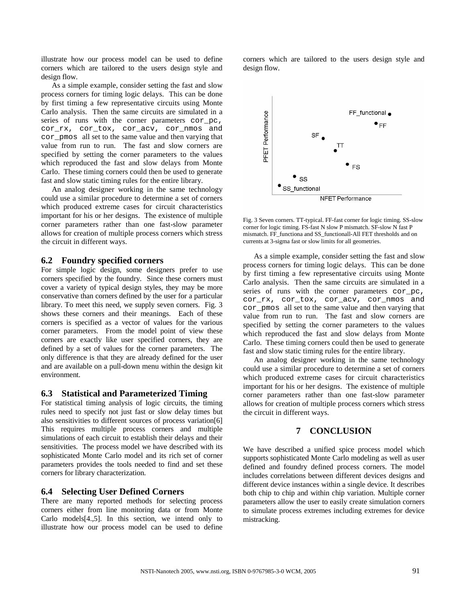illustrate how our process model can be used to define corners which are tailored to the users design style and design flow.

As a simple example, consider setting the fast and slow process corners for timing logic delays. This can be done by first timing a few representative circuits using Monte Carlo analysis. Then the same circuits are simulated in a series of runs with the corner parameters cor pc, cor\_rx, cor\_tox, cor\_acv, cor\_nmos and cor\_pmos all set to the same value and then varying that value from run to run. The fast and slow corners are specified by setting the corner parameters to the values which reproduced the fast and slow delays from Monte Carlo. These timing corners could then be used to generate fast and slow static timing rules for the entire library.

An analog designer working in the same technology could use a similar procedure to determine a set of corners which produced extreme cases for circuit characteristics important for his or her designs. The existence of multiple corner parameters rather than one fast-slow parameter allows for creation of multiple process corners which stress the circuit in different ways.

### **6.2 Foundry specified corners**

For simple logic design, some designers prefer to use corners specified by the foundry. Since these corners must cover a variety of typical design styles, they may be more conservative than corners defined by the user for a particular library. To meet this need, we supply seven corners. Fig. 3 shows these corners and their meanings. Each of these corners is specified as a vector of values for the various corner parameters. From the model point of view these corners are exactly like user specified corners, they are defined by a set of values for the corner parameters. The only difference is that they are already defined for the user and are available on a pull-down menu within the design kit environment.

#### **6.3 Statistical and Parameterized Timing**

For statistical timing analysis of logic circuits, the timing rules need to specify not just fast or slow delay times but also sensitivities to different sources of process variation[6] This requires multiple process corners and multiple simulations of each circuit to establish their delays and their sensitivities. The process model we have described with its sophisticated Monte Carlo model and its rich set of corner parameters provides the tools needed to find and set these corners for library characterization.

#### **6.4 Selecting User Defined Corners**

There are many reported methods for selecting process corners either from line monitoring data or from Monte Carlo models[4.,5]. In this section, we intend only to illustrate how our process model can be used to define

corners which are tailored to the users design style and design flow.



Fig. 3 Seven corners. TT-typical. FF-fast corner for logic timing. SS-slow corner for logic timing. FS-fast N slow P mismatch. SF-slow N fast P mismatch. FF\_functiona and SS\_functionall-All FET thresholds and on currents at 3-sigma fast or slow limits for all geometries.

As a simple example, consider setting the fast and slow process corners for timing logic delays. This can be done by first timing a few representative circuits using Monte Carlo analysis. Then the same circuits are simulated in a series of runs with the corner parameters cor pc, cor rx, cor tox, cor acv, cor nmos and cor\_pmos all set to the same value and then varying that value from run to run. The fast and slow corners are specified by setting the corner parameters to the values which reproduced the fast and slow delays from Monte Carlo. These timing corners could then be used to generate fast and slow static timing rules for the entire library.

An analog designer working in the same technology could use a similar procedure to determine a set of corners which produced extreme cases for circuit characteristics important for his or her designs. The existence of multiple corner parameters rather than one fast-slow parameter allows for creation of multiple process corners which stress the circuit in different ways.

## **7 CONCLUSION**

We have described a unified spice process model which supports sophisticated Monte Carlo modeling as well as user defined and foundry defined process corners. The model includes correlations between different devices designs and different device instances within a single device. It describes both chip to chip and within chip variation. Multiple corner parameters allow the user to easily create simulation corners to simulate process extremes including extremes for device mistracking.